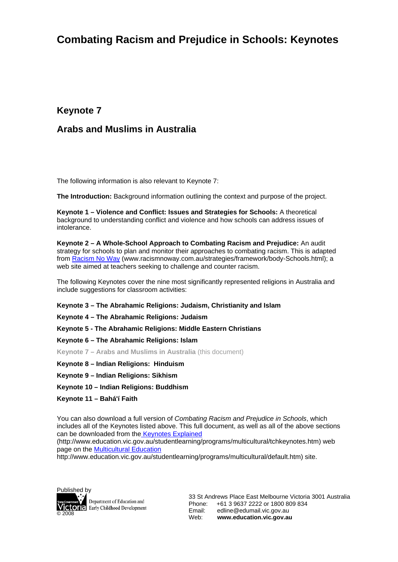## **Combating Racism and Prejudice in Schools: Keynotes**

### **Keynote 7**

### **Arabs and Muslims in Australia**

The following information is also relevant to Keynote 7:

**The Introduction:** Background information outlining the context and purpose of the project.

**Keynote 1 – Violence and Conflict: Issues and Strategies for Schools:** A theoretical background to understanding conflict and violence and how schools can address issues of intolerance.

**Keynote 2 – A Whole-School Approach to Combating Racism and Prejudice:** An audit strategy for schools to plan and monitor their approaches to combating racism. This is adapted from Racism No Way (www.racismnoway.com.au/strategies/framework/body-Schools.html); a web site aimed at teachers seeking to challenge and counter racism.

The following Keynotes cover the nine most significantly represented religions in Australia and include suggestions for classroom activities:

**Keynote 3 – The Abrahamic Religions: Judaism, Christianity and Islam** 

**Keynote 4 – The Abrahamic Religions: Judaism** 

**Keynote 5 - The Abrahamic Religions: Middle Eastern Christians** 

**Keynote 6 – The Abrahamic Religions: Islam** 

**Keynote 7 – Arabs and Muslims in Australia** (this document)

- **Keynote 8 Indian Religions: Hinduism**
- **Keynote 9 Indian Religions: Sikhism**
- **Keynote 10 Indian Religions: Buddhism**
- **Keynote 11 Bahá'í Faith**

You can also download a full version of *Combating Racism and Prejudice in Schools*, which includes all of the Keynotes listed above. This full document, as well as all of the above sections can be downloaded from the Keynotes Explained (http://www.education.vic.gov.au/studentlearning/programs/multicultural/tchkeynotes.htm) web

page on the Multicultural Education

http://www.education.vic.gov.au/studentlearning/programs/multicultural/default.htm) site.



Department of Education and **Victoria** Early Childhood Development

33 St Andrews Place East Melbourne Victoria 3001 Australia Phone: +61 3 9637 2222 or 1800 809 834 Email: edline@edumail.vic.gov.au Web: **www.education.vic.gov.au**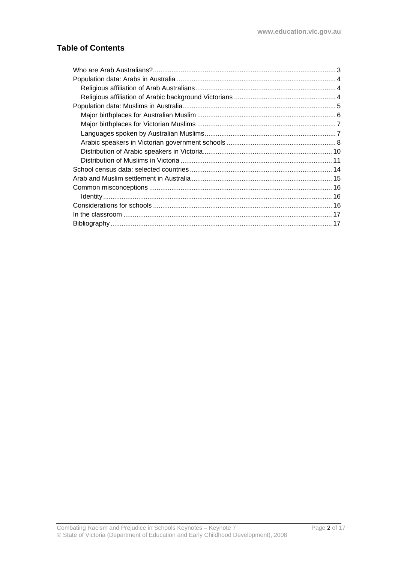### **Table of Contents**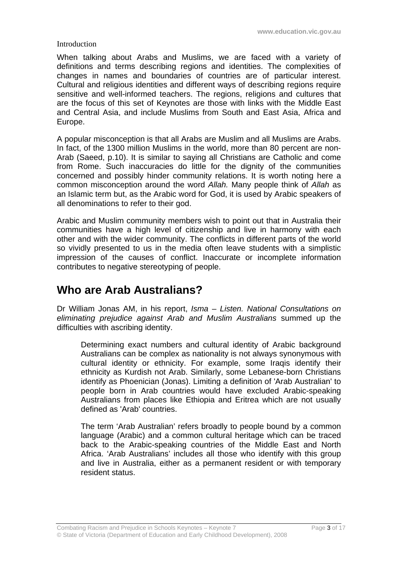#### **Introduction**

When talking about Arabs and Muslims, we are faced with a variety of definitions and terms describing regions and identities. The complexities of changes in names and boundaries of countries are of particular interest. Cultural and religious identities and different ways of describing regions require sensitive and well-informed teachers. The regions, religions and cultures that are the focus of this set of Keynotes are those with links with the Middle East and Central Asia, and include Muslims from South and East Asia, Africa and Europe.

A popular misconception is that all Arabs are Muslim and all Muslims are Arabs. In fact, of the 1300 million Muslims in the world, more than 80 percent are non-Arab (Saeed, p.10). It is similar to saying all Christians are Catholic and come from Rome. Such inaccuracies do little for the dignity of the communities concerned and possibly hinder community relations. It is worth noting here a common misconception around the word *Allah.* Many people think of *Allah* as an Islamic term but, as the Arabic word for God, it is used by Arabic speakers of all denominations to refer to their god.

Arabic and Muslim community members wish to point out that in Australia their communities have a high level of citizenship and live in harmony with each other and with the wider community. The conflicts in different parts of the world so vividly presented to us in the media often leave students with a simplistic impression of the causes of conflict. Inaccurate or incomplete information contributes to negative stereotyping of people.

## **Who are Arab Australians?**

Dr William Jonas AM, in his report, *Isma* – *Listen. National Consultations on eliminating prejudice against Arab and Muslim Australians* summed up the difficulties with ascribing identity.

Determining exact numbers and cultural identity of Arabic background Australians can be complex as nationality is not always synonymous with cultural identity or ethnicity. For example, some Iraqis identify their ethnicity as Kurdish not Arab. Similarly, some Lebanese-born Christians identify as Phoenician (Jonas). Limiting a definition of 'Arab Australian' to people born in Arab countries would have excluded Arabic-speaking Australians from places like Ethiopia and Eritrea which are not usually defined as 'Arab' countries.

The term 'Arab Australian' refers broadly to people bound by a common language (Arabic) and a common cultural heritage which can be traced back to the Arabic-speaking countries of the Middle East and North Africa. 'Arab Australians' includes all those who identify with this group and live in Australia, either as a permanent resident or with temporary resident status.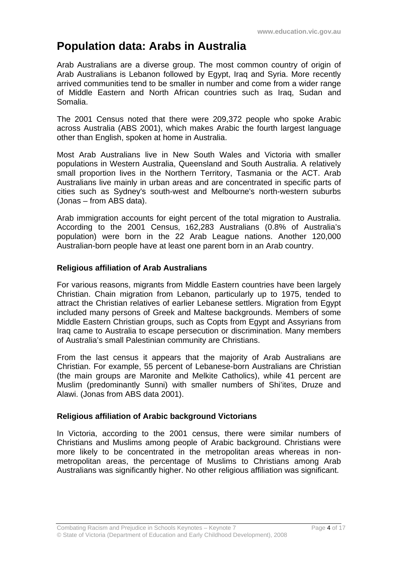## **Population data: Arabs in Australia**

Arab Australians are a diverse group. The most common country of origin of Arab Australians is Lebanon followed by Egypt, Iraq and Syria. More recently arrived communities tend to be smaller in number and come from a wider range of Middle Eastern and North African countries such as Iraq, Sudan and Somalia.

The 2001 Census noted that there were 209,372 people who spoke Arabic across Australia (ABS 2001), which makes Arabic the fourth largest language other than English, spoken at home in Australia.

Most Arab Australians live in New South Wales and Victoria with smaller populations in Western Australia, Queensland and South Australia. A relatively small proportion lives in the Northern Territory, Tasmania or the ACT. Arab Australians live mainly in urban areas and are concentrated in specific parts of cities such as Sydney's south-west and Melbourne's north-western suburbs (Jonas – from ABS data).

Arab immigration accounts for eight percent of the total migration to Australia. According to the 2001 Census, 162,283 Australians (0.8% of Australia's population) were born in the 22 Arab League nations. Another 120,000 Australian-born people have at least one parent born in an Arab country.

### **Religious affiliation of Arab Australians**

For various reasons, migrants from Middle Eastern countries have been largely Christian. Chain migration from Lebanon, particularly up to 1975, tended to attract the Christian relatives of earlier Lebanese settlers. Migration from Egypt included many persons of Greek and Maltese backgrounds. Members of some Middle Eastern Christian groups, such as Copts from Egypt and Assyrians from Iraq came to Australia to escape persecution or discrimination. Many members of Australia's small Palestinian community are Christians.

From the last census it appears that the majority of Arab Australians are Christian. For example, 55 percent of Lebanese-born Australians are Christian (the main groups are Maronite and Melkite Catholics), while 41 percent are Muslim (predominantly Sunni) with smaller numbers of Shi'ites, Druze and Alawi. (Jonas from ABS data 2001).

### **Religious affiliation of Arabic background Victorians**

In Victoria, according to the 2001 census, there were similar numbers of Christians and Muslims among people of Arabic background. Christians were more likely to be concentrated in the metropolitan areas whereas in nonmetropolitan areas, the percentage of Muslims to Christians among Arab Australians was significantly higher. No other religious affiliation was significant.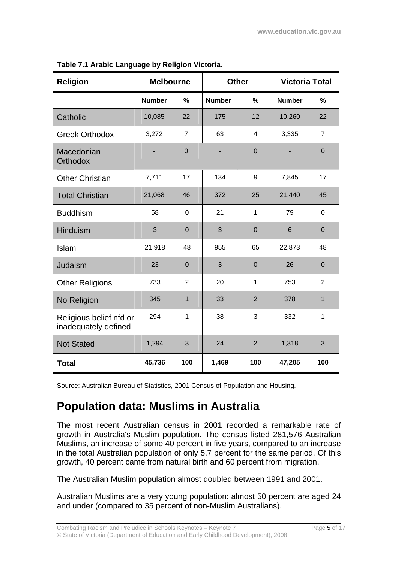| <b>Religion</b>                                 |               | <b>Melbourne</b><br><b>Victoria Total</b><br><b>Other</b> |                       |                |               |                |
|-------------------------------------------------|---------------|-----------------------------------------------------------|-----------------------|----------------|---------------|----------------|
|                                                 | <b>Number</b> | %                                                         | <b>Number</b><br>$\%$ |                | <b>Number</b> | %              |
| Catholic                                        | 10,085        | 22                                                        | 175                   | 12             | 10,260        | 22             |
| <b>Greek Orthodox</b>                           | 3,272         | 7                                                         | 63                    | 4              | 3,335         | 7              |
| Macedonian<br><b>Orthodox</b>                   |               | $\overline{0}$                                            |                       | $\mathbf 0$    |               | $\mathbf 0$    |
| <b>Other Christian</b>                          | 7,711         | 17                                                        | 134                   | 9              | 7,845         | 17             |
| <b>Total Christian</b>                          | 21,068        | 46                                                        | 372                   | 25             | 21,440        | 45             |
| <b>Buddhism</b>                                 | 58            | $\overline{0}$                                            | 21                    | $\mathbf{1}$   |               | $\overline{0}$ |
| Hinduism                                        | 3             | $\overline{0}$                                            | 3                     | $\mathbf 0$    | 6             | $\mathbf 0$    |
| Islam                                           | 21,918        | 48                                                        | 955                   | 65             | 22,873        | 48             |
| Judaism                                         | 23            | $\overline{0}$                                            | 3                     | $\overline{0}$ | 26            | $\mathbf 0$    |
| <b>Other Religions</b>                          | 733           | $\overline{2}$                                            | 20                    | $\mathbf{1}$   | 753           | 2              |
| No Religion                                     | 345           | $\mathbf{1}$                                              | 33                    | $\overline{2}$ | 378           | 1              |
| Religious belief nfd or<br>inadequately defined | 294           | 1                                                         | 38<br>3               |                | 332           | 1              |
| <b>Not Stated</b>                               | 1,294         | 3                                                         | 24                    | $\overline{2}$ | 1,318         | 3              |
| <b>Total</b>                                    | 45,736        | 100                                                       | 1,469                 | 100            | 47,205        | 100            |

|  |  |  |  | Table 7.1 Arabic Language by Religion Victoria. |  |
|--|--|--|--|-------------------------------------------------|--|
|--|--|--|--|-------------------------------------------------|--|

Source: Australian Bureau of Statistics, 2001 Census of Population and Housing.

## **Population data: Muslims in Australia**

The most recent Australian census in 2001 recorded a remarkable rate of growth in Australia's Muslim population. The census listed 281,576 Australian Muslims, an increase of some 40 percent in five years, compared to an increase in the total Australian population of only 5.7 percent for the same period. Of this growth, 40 percent came from natural birth and 60 percent from migration.

The Australian Muslim population almost doubled between 1991 and 2001.

Australian Muslims are a very young population: almost 50 percent are aged 24 and under (compared to 35 percent of non-Muslim Australians).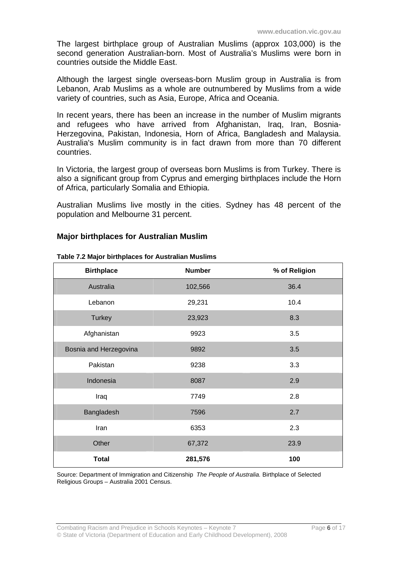The largest birthplace group of Australian Muslims (approx 103,000) is the second generation Australian-born. Most of Australia's Muslims were born in countries outside the Middle East.

Although the largest single overseas-born Muslim group in Australia is from Lebanon, Arab Muslims as a whole are outnumbered by Muslims from a wide variety of countries, such as Asia, Europe, Africa and Oceania.

In recent years, there has been an increase in the number of Muslim migrants and refugees who have arrived from Afghanistan, Iraq, Iran, Bosnia-Herzegovina, Pakistan, Indonesia, Horn of Africa, Bangladesh and Malaysia. Australia's Muslim community is in fact drawn from more than 70 different countries.

In Victoria, the largest group of overseas born Muslims is from Turkey. There is also a significant group from Cyprus and emerging birthplaces include the Horn of Africa, particularly Somalia and Ethiopia.

Australian Muslims live mostly in the cities. Sydney has 48 percent of the population and Melbourne 31 percent.

#### **Major birthplaces for Australian Muslim**

| <b>Birthplace</b>      | <b>Number</b> | % of Religion |
|------------------------|---------------|---------------|
| Australia              | 102,566       | 36.4          |
| Lebanon                | 29,231        | 10.4          |
| <b>Turkey</b>          | 23,923        | 8.3           |
| Afghanistan            | 9923          | 3.5           |
| Bosnia and Herzegovina | 9892          | 3.5           |
| Pakistan               | 9238          | 3.3           |
| Indonesia              | 8087          | 2.9           |
| Iraq                   | 7749          | 2.8           |
| Bangladesh             | 7596          | 2.7           |
| Iran                   | 6353          | 2.3           |
| Other                  | 67,372        | 23.9          |
| <b>Total</b>           | 281,576       | 100           |

**Table 7.2 Major birthplaces for Australian Muslims** 

Source: Department of Immigration and Citizenship *The People of Australia.* Birthplace of Selected Religious Groups – Australia 2001 Census.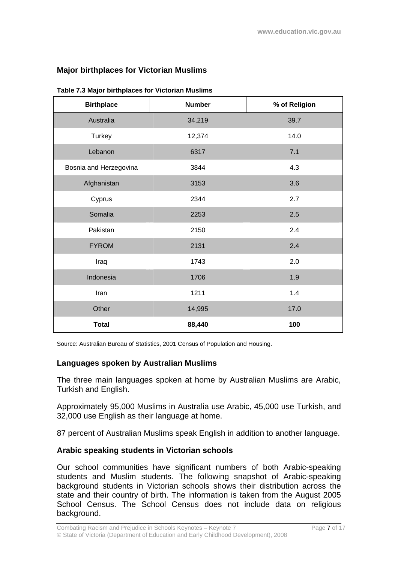### **Major birthplaces for Victorian Muslims**

| <b>Birthplace</b>      | <b>Number</b> | % of Religion |
|------------------------|---------------|---------------|
| Australia              | 34,219        | 39.7          |
| Turkey                 | 12,374        | 14.0          |
| Lebanon                | 6317          | 7.1           |
| Bosnia and Herzegovina | 3844          | 4.3           |
| Afghanistan            | 3153          | 3.6           |
| Cyprus                 | 2344          | 2.7           |
| Somalia                | 2253          | 2.5           |
| Pakistan               | 2150          | 2.4           |
| <b>FYROM</b>           | 2131          | 2.4           |
| Iraq                   | 1743          | 2.0           |
| Indonesia              | 1706          | 1.9           |
| Iran                   | 1211          | 1.4           |
| Other                  | 14,995        | 17.0          |
| <b>Total</b>           | 88,440        | 100           |

**Table 7.3 Major birthplaces for Victorian Muslims** 

Source: Australian Bureau of Statistics, 2001 Census of Population and Housing.

#### **Languages spoken by Australian Muslims**

The three main languages spoken at home by Australian Muslims are Arabic, Turkish and English.

Approximately 95,000 Muslims in Australia use Arabic, 45,000 use Turkish, and 32,000 use English as their language at home.

87 percent of Australian Muslims speak English in addition to another language.

#### **Arabic speaking students in Victorian schools**

Our school communities have significant numbers of both Arabic-speaking students and Muslim students. The following snapshot of Arabic-speaking background students in Victorian schools shows their distribution across the state and their country of birth. The information is taken from the August 2005 School Census. The School Census does not include data on religious background.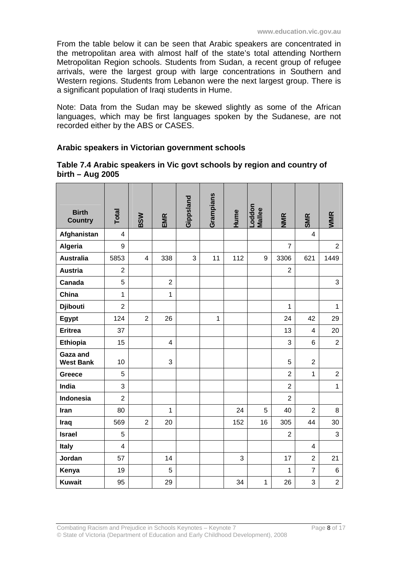From the table below it can be seen that Arabic speakers are concentrated in the metropolitan area with almost half of the state's total attending Northern Metropolitan Region schools. Students from Sudan, a recent group of refugee arrivals, were the largest group with large concentrations in Southern and Western regions. Students from Lebanon were the next largest group. There is a significant population of Iraqi students in Hume.

Note: Data from the Sudan may be skewed slightly as some of the African languages, which may be first languages spoken by the Sudanese, are not recorded either by the ABS or CASES.

#### **Arabic speakers in Victorian government schools**

#### **Table 7.4 Arabic speakers in Vic govt schools by region and country of birth – Aug 2005**

| <b>Birth</b><br><b>Country</b> | Total          | <b>BSW</b>     | EMR            | Gippsland | Grampians   | Hume | Loddon<br>Mallee | <b>NMR</b>     | <b>SMR</b>     | <b>WMR</b>     |
|--------------------------------|----------------|----------------|----------------|-----------|-------------|------|------------------|----------------|----------------|----------------|
| Afghanistan                    | 4              |                |                |           |             |      |                  |                | 4              |                |
| Algeria                        | 9              |                |                |           |             |      |                  | $\overline{7}$ |                | $\overline{2}$ |
| <b>Australia</b>               | 5853           | $\overline{4}$ | 338            | 3         | 11          | 112  | 9                | 3306           | 621            | 1449           |
| <b>Austria</b>                 | $\overline{2}$ |                |                |           |             |      |                  | $\overline{2}$ |                |                |
| Canada                         | 5              |                | $\overline{c}$ |           |             |      |                  |                |                | 3              |
| China                          | $\mathbf{1}$   |                | $\mathbf{1}$   |           |             |      |                  |                |                |                |
| <b>Djibouti</b>                | $\overline{2}$ |                |                |           |             |      |                  | $\mathbf{1}$   |                | $\mathbf{1}$   |
| Egypt                          | 124            | $\overline{2}$ | 26             |           | $\mathbf 1$ |      |                  | 24             | 42             | 29             |
| <b>Eritrea</b>                 | 37             |                |                |           |             |      |                  | 13             | $\overline{4}$ | 20             |
| <b>Ethiopia</b>                | 15             |                | $\overline{4}$ |           |             |      |                  | 3              | 6              | $\overline{2}$ |
| Gaza and<br><b>West Bank</b>   | 10             |                | 3              |           |             |      |                  | 5              | $\overline{2}$ |                |
| <b>Greece</b>                  | 5              |                |                |           |             |      |                  | $\overline{2}$ | $\mathbf{1}$   | $\overline{2}$ |
| India                          | 3              |                |                |           |             |      |                  | $\overline{2}$ |                | $\mathbf{1}$   |
| Indonesia                      | $\overline{2}$ |                |                |           |             |      |                  | $\overline{2}$ |                |                |
| Iran                           | 80             |                | $\mathbf{1}$   |           |             | 24   | 5                | 40             | $\overline{2}$ | 8              |
| Iraq                           | 569            | $\overline{2}$ | 20             |           |             | 152  | 16               | 305            | 44             | 30             |
| <b>Israel</b>                  | 5              |                |                |           |             |      |                  | $\overline{2}$ |                | 3              |
| <b>Italy</b>                   | 4              |                |                |           |             |      |                  |                | 4              |                |
| Jordan                         | 57             |                | 14             |           |             | 3    |                  | 17             | $\overline{2}$ | 21             |
| Kenya                          | 19             |                | 5              |           |             |      |                  | 1              | $\overline{7}$ | $6\phantom{1}$ |
| <b>Kuwait</b>                  | 95             |                | 29             |           |             | 34   | $\mathbf{1}$     | 26             | 3              | $\overline{c}$ |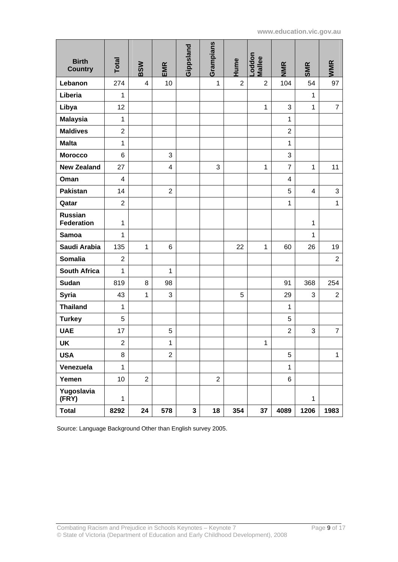| <b>Birth</b><br><b>Country</b> | Total          | <b>BSW</b>     | EMR            | Gippsland | Grampians      | Hume           | noddon-<br><b>Mallee</b> | <b>NMR</b>     | <b>SMR</b>   | <b>WMR</b>     |
|--------------------------------|----------------|----------------|----------------|-----------|----------------|----------------|--------------------------|----------------|--------------|----------------|
| Lebanon                        | 274            | $\overline{4}$ | 10             |           | 1              | $\overline{2}$ | $\overline{2}$           | 104            | 54           | 97             |
| Liberia                        | 1              |                |                |           |                |                |                          |                | $\mathbf{1}$ |                |
| Libya                          | 12             |                |                |           |                |                | $\mathbf{1}$             | 3              | 1            | $\overline{7}$ |
| <b>Malaysia</b>                | $\mathbf{1}$   |                |                |           |                |                |                          | $\mathbf{1}$   |              |                |
| <b>Maldives</b>                | $\overline{2}$ |                |                |           |                |                |                          | $\overline{2}$ |              |                |
| <b>Malta</b>                   | $\mathbf{1}$   |                |                |           |                |                |                          | $\mathbf{1}$   |              |                |
| <b>Morocco</b>                 | 6              |                | 3              |           |                |                |                          | 3              |              |                |
| <b>New Zealand</b>             | 27             |                | $\overline{4}$ |           | 3              |                | $\mathbf{1}$             | $\overline{7}$ | $\mathbf{1}$ | 11             |
| Oman                           | 4              |                |                |           |                |                |                          | 4              |              |                |
| <b>Pakistan</b>                | 14             |                | $\overline{2}$ |           |                |                |                          | 5              | 4            | 3              |
| Qatar                          | $\overline{2}$ |                |                |           |                |                |                          | $\mathbf{1}$   |              | $\mathbf{1}$   |
| <b>Russian</b>                 |                |                |                |           |                |                |                          |                |              |                |
| <b>Federation</b>              | 1              |                |                |           |                |                |                          |                | $\mathbf{1}$ |                |
| <b>Samoa</b>                   | 1              |                |                |           |                |                |                          |                | $\mathbf{1}$ |                |
| Saudi Arabia                   | 135            | $\mathbf{1}$   | 6              |           |                | 22             | $\mathbf{1}$             | 60             | 26           | 19             |
| <b>Somalia</b>                 | $\overline{2}$ |                |                |           |                |                |                          |                |              | $\overline{2}$ |
| <b>South Africa</b>            | $\mathbf{1}$   |                | $\mathbf{1}$   |           |                |                |                          |                |              |                |
| Sudan                          | 819            | 8              | 98             |           |                |                |                          | 91             | 368          | 254            |
| <b>Syria</b>                   | 43             | 1              | 3              |           |                | 5              |                          | 29             | 3            | $\overline{2}$ |
| <b>Thailand</b>                | $\mathbf{1}$   |                |                |           |                |                |                          | $\mathbf{1}$   |              |                |
| <b>Turkey</b>                  | 5              |                |                |           |                |                |                          | 5              |              |                |
| <b>UAE</b>                     | 17             |                | $\mathbf 5$    |           |                |                |                          | $\overline{2}$ | 3            | $\overline{7}$ |
| <b>UK</b>                      | $\overline{c}$ |                | $\mathbf{1}$   |           |                |                | $\mathbf{1}$             |                |              |                |
| <b>USA</b>                     | 8              |                | $\overline{2}$ |           |                |                |                          | 5              |              | $\mathbf{1}$   |
| Venezuela                      | $\mathbf{1}$   |                |                |           |                |                |                          | $\mathbf{1}$   |              |                |
| Yemen                          | 10             | $\overline{2}$ |                |           | $\overline{2}$ |                |                          | 6              |              |                |
| Yugoslavia<br>(FRY)            | $\mathbf{1}$   |                |                |           |                |                |                          |                | $\mathbf{1}$ |                |
| <b>Total</b>                   | 8292           | 24             | 578            | 3         | 18             | 354            | 37                       | 4089           | 1206         | 1983           |

Source: Language Background Other than English survey 2005.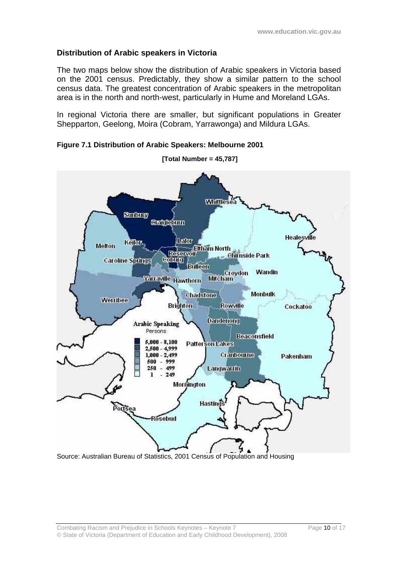### **Distribution of Arabic speakers in Victoria**

The two maps below show the distribution of Arabic speakers in Victoria based on the 2001 census. Predictably, they show a similar pattern to the school census data. The greatest concentration of Arabic speakers in the metropolitan area is in the north and north-west, particularly in Hume and Moreland LGAs.

In regional Victoria there are smaller, but significant populations in Greater Shepparton, Geelong, Moira (Cobram, Yarrawonga) and Mildura LGAs.



**Figure 7.1 Distribution of Arabic Speakers: Melbourne 2001**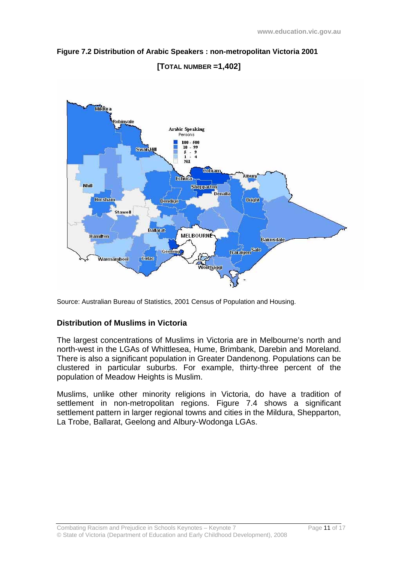



## **[TOTAL NUMBER =1,402]**

Source: Australian Bureau of Statistics, 2001 Census of Population and Housing.

### **Distribution of Muslims in Victoria**

The largest concentrations of Muslims in Victoria are in Melbourne's north and north-west in the LGAs of Whittlesea, Hume, Brimbank, Darebin and Moreland. There is also a significant population in Greater Dandenong. Populations can be clustered in particular suburbs. For example, thirty-three percent of the population of Meadow Heights is Muslim.

Muslims, unlike other minority religions in Victoria, do have a tradition of settlement in non-metropolitan regions. Figure 7.4 shows a significant settlement pattern in larger regional towns and cities in the Mildura, Shepparton, La Trobe, Ballarat, Geelong and Albury-Wodonga LGAs.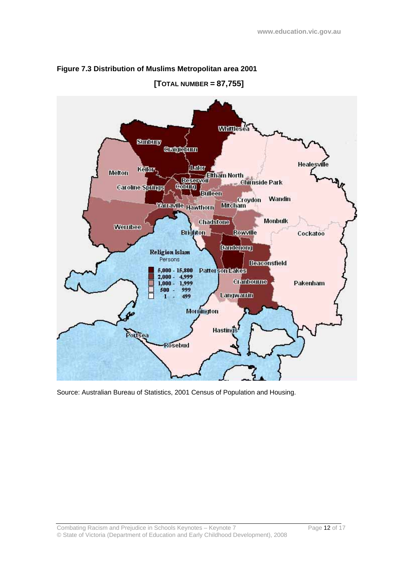

#### **Figure 7.3 Distribution of Muslims Metropolitan area 2001**

**[TOTAL NUMBER = 87,755]** 

Source: Australian Bureau of Statistics, 2001 Census of Population and Housing.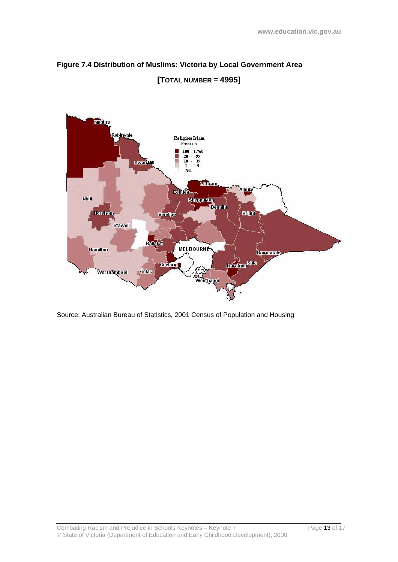



Source: Australian Bureau of Statistics, 2001 Census of Population and Housing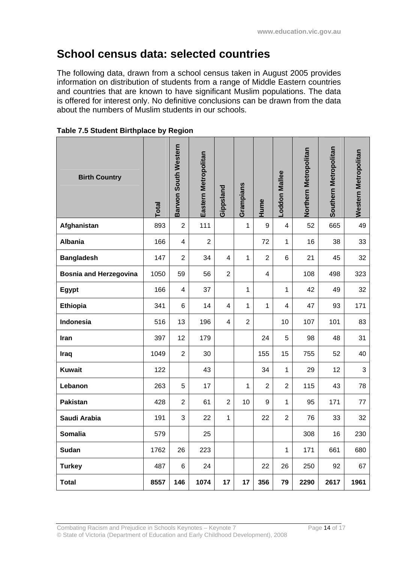## **School census data: selected countries**

The following data, drawn from a school census taken in August 2005 provides information on distribution of students from a range of Middle Eastern countries and countries that are known to have significant Muslim populations. The data is offered for interest only. No definitive conclusions can be drawn from the data about the numbers of Muslim students in our schools.

| <b>Birth Country</b>          | <b>Total</b> | Barwon South Western | Eastern Metropolitan | Gippsland      | Grampians      | Hume             | -oddon Mallee           | Northern Metropolitan | Southern Metropolitan | <b>Western Metropolitan</b> |
|-------------------------------|--------------|----------------------|----------------------|----------------|----------------|------------------|-------------------------|-----------------------|-----------------------|-----------------------------|
| Afghanistan                   | 893          | $\overline{2}$       | 111                  |                | 1              | $\boldsymbol{9}$ | $\overline{\mathbf{4}}$ | 52                    | 665                   | 49                          |
| <b>Albania</b>                | 166          | 4                    | $\overline{2}$       |                |                | 72               | $\mathbf{1}$            | 16                    | 38                    | 33                          |
| <b>Bangladesh</b>             | 147          | $\overline{2}$       | 34                   | $\overline{4}$ | 1              | $\overline{2}$   | 6                       | 21                    | 45                    | 32                          |
| <b>Bosnia and Herzegovina</b> | 1050         | 59                   | 56                   | $\overline{2}$ |                | 4                |                         | 108                   | 498                   | 323                         |
| Egypt                         | 166          | 4                    | 37                   |                | 1              |                  | $\mathbf{1}$            | 42                    | 49                    | 32                          |
| Ethiopia                      | 341          | 6                    | 14                   | $\overline{4}$ | 1              | 1                | 4                       | 47                    | 93                    | 171                         |
| Indonesia                     | 516          | 13                   | 196                  | 4              | $\overline{2}$ |                  | 10                      | 107                   | 101                   | 83                          |
| Iran                          | 397          | 12                   | 179                  |                |                | 24               | 5                       | 98                    | 48                    | 31                          |
| Iraq                          | 1049         | $\overline{2}$       | 30                   |                |                | 155              | 15                      | 755                   | 52                    | 40                          |
| <b>Kuwait</b>                 | 122          |                      | 43                   |                |                | 34               | $\mathbf{1}$            | 29                    | 12                    | 3                           |
| Lebanon                       | 263          | 5                    | 17                   |                | 1              | $\overline{2}$   | $\overline{2}$          | 115                   | 43                    | 78                          |
| <b>Pakistan</b>               | 428          | $\boldsymbol{2}$     | 61                   | $\overline{2}$ | 10             | 9                | $\mathbf{1}$            | 95                    | 171                   | 77                          |
| Saudi Arabia                  | 191          | 3                    | 22                   | 1              |                | 22               | $\overline{2}$          | 76                    | 33                    | 32                          |
| Somalia                       | 579          |                      | 25                   |                |                |                  |                         | 308                   | 16                    | 230                         |
| Sudan                         | 1762         | 26                   | 223                  |                |                |                  | 1                       | 171                   | 661                   | 680                         |
| <b>Turkey</b>                 | 487          | 6                    | 24                   |                |                | 22               | 26                      | 250                   | 92                    | 67                          |
| <b>Total</b>                  | 8557         | 146                  | 1074                 | 17             | 17             | 356              | 79                      | 2290                  | 2617                  | 1961                        |

**Table 7.5 Student Birthplace by Region**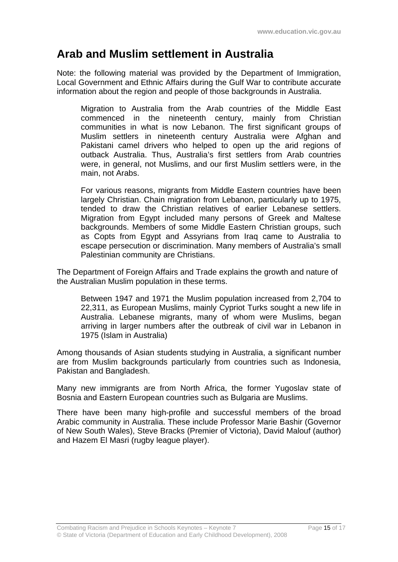## **Arab and Muslim settlement in Australia**

Note: the following material was provided by the Department of Immigration, Local Government and Ethnic Affairs during the Gulf War to contribute accurate information about the region and people of those backgrounds in Australia.

Migration to Australia from the Arab countries of the Middle East commenced in the nineteenth century, mainly from Christian communities in what is now Lebanon. The first significant groups of Muslim settlers in nineteenth century Australia were Afghan and Pakistani camel drivers who helped to open up the arid regions of outback Australia. Thus, Australia's first settlers from Arab countries were, in general, not Muslims, and our first Muslim settlers were, in the main, not Arabs.

For various reasons, migrants from Middle Eastern countries have been largely Christian. Chain migration from Lebanon, particularly up to 1975, tended to draw the Christian relatives of earlier Lebanese settlers. Migration from Egypt included many persons of Greek and Maltese backgrounds. Members of some Middle Eastern Christian groups, such as Copts from Egypt and Assyrians from Iraq came to Australia to escape persecution or discrimination. Many members of Australia's small Palestinian community are Christians.

The Department of Foreign Affairs and Trade explains the growth and nature of the Australian Muslim population in these terms.

Between 1947 and 1971 the Muslim population increased from 2,704 to 22,311, as European Muslims, mainly Cypriot Turks sought a new life in Australia. Lebanese migrants, many of whom were Muslims, began arriving in larger numbers after the outbreak of civil war in Lebanon in 1975 (Islam in Australia)

Among thousands of Asian students studying in Australia, a significant number are from Muslim backgrounds particularly from countries such as Indonesia, Pakistan and Bangladesh.

Many new immigrants are from North Africa, the former Yugoslav state of Bosnia and Eastern European countries such as Bulgaria are Muslims.

There have been many high-profile and successful members of the broad Arabic community in Australia. These include Professor Marie Bashir (Governor of New South Wales), Steve Bracks (Premier of Victoria), David Malouf (author) and Hazem El Masri (rugby league player).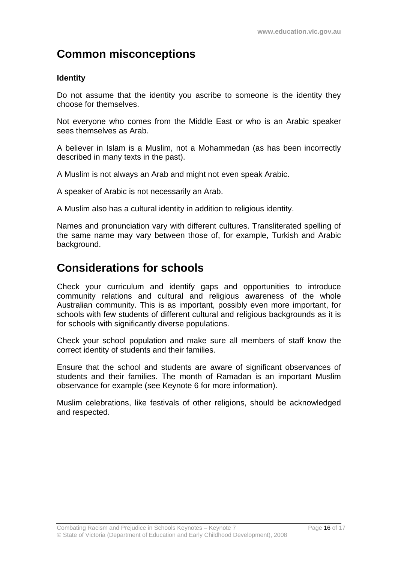## **Common misconceptions**

### **Identity**

Do not assume that the identity you ascribe to someone is the identity they choose for themselves.

Not everyone who comes from the Middle East or who is an Arabic speaker sees themselves as Arab.

A believer in Islam is a Muslim, not a Mohammedan (as has been incorrectly described in many texts in the past).

A Muslim is not always an Arab and might not even speak Arabic.

A speaker of Arabic is not necessarily an Arab.

A Muslim also has a cultural identity in addition to religious identity.

Names and pronunciation vary with different cultures. Transliterated spelling of the same name may vary between those of, for example, Turkish and Arabic background.

## **Considerations for schools**

Check your curriculum and identify gaps and opportunities to introduce community relations and cultural and religious awareness of the whole Australian community. This is as important, possibly even more important, for schools with few students of different cultural and religious backgrounds as it is for schools with significantly diverse populations.

Check your school population and make sure all members of staff know the correct identity of students and their families.

Ensure that the school and students are aware of significant observances of students and their families. The month of Ramadan is an important Muslim observance for example (see Keynote 6 for more information).

Muslim celebrations, like festivals of other religions, should be acknowledged and respected.